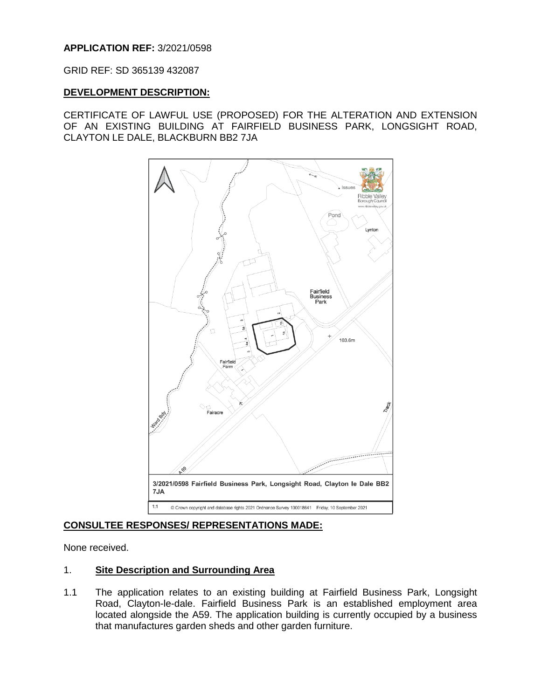# **APPLICATION REF:** 3/2021/0598

GRID REF: SD 365139 432087

## **DEVELOPMENT DESCRIPTION:**

CERTIFICATE OF LAWFUL USE (PROPOSED) FOR THE ALTERATION AND EXTENSION OF AN EXISTING BUILDING AT FAIRFIELD BUSINESS PARK, LONGSIGHT ROAD, CLAYTON LE DALE, BLACKBURN BB2 7JA



# **CONSULTEE RESPONSES/ REPRESENTATIONS MADE:**

None received.

# 1. **Site Description and Surrounding Area**

1.1 The application relates to an existing building at Fairfield Business Park, Longsight Road, Clayton-le-dale. Fairfield Business Park is an established employment area located alongside the A59. The application building is currently occupied by a business that manufactures garden sheds and other garden furniture.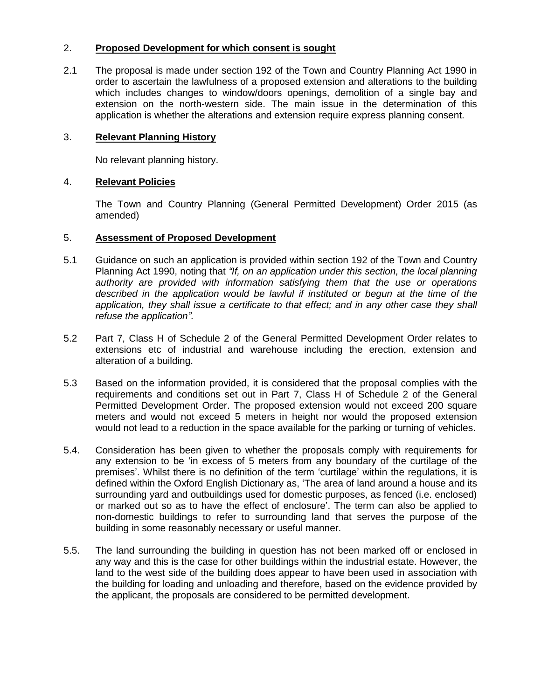# 2. **Proposed Development for which consent is sought**

2.1 The proposal is made under section 192 of the Town and Country Planning Act 1990 in order to ascertain the lawfulness of a proposed extension and alterations to the building which includes changes to window/doors openings, demolition of a single bay and extension on the north-western side. The main issue in the determination of this application is whether the alterations and extension require express planning consent.

## 3. **Relevant Planning History**

No relevant planning history.

## 4. **Relevant Policies**

The Town and Country Planning (General Permitted Development) Order 2015 (as amended)

## 5. **Assessment of Proposed Development**

- 5.1 Guidance on such an application is provided within section 192 of the Town and Country Planning Act 1990, noting that *"If, on an application under this section, the local planning authority are provided with information satisfying them that the use or operations*  described in the application would be lawful if instituted or begun at the time of the *application, they shall issue a certificate to that effect; and in any other case they shall refuse the application".*
- 5.2 Part 7, Class H of Schedule 2 of the General Permitted Development Order relates to extensions etc of industrial and warehouse including the erection, extension and alteration of a building.
- 5.3 Based on the information provided, it is considered that the proposal complies with the requirements and conditions set out in Part 7, Class H of Schedule 2 of the General Permitted Development Order. The proposed extension would not exceed 200 square meters and would not exceed 5 meters in height nor would the proposed extension would not lead to a reduction in the space available for the parking or turning of vehicles.
- 5.4. Consideration has been given to whether the proposals comply with requirements for any extension to be 'in excess of 5 meters from any boundary of the curtilage of the premises'. Whilst there is no definition of the term 'curtilage' within the regulations, it is defined within the Oxford English Dictionary as, 'The area of land around a house and its surrounding yard and outbuildings used for domestic purposes, as fenced (i.e. enclosed) or marked out so as to have the effect of enclosure'. The term can also be applied to non-domestic buildings to refer to surrounding land that serves the purpose of the building in some reasonably necessary or useful manner.
- 5.5. The land surrounding the building in question has not been marked off or enclosed in any way and this is the case for other buildings within the industrial estate. However, the land to the west side of the building does appear to have been used in association with the building for loading and unloading and therefore, based on the evidence provided by the applicant, the proposals are considered to be permitted development.